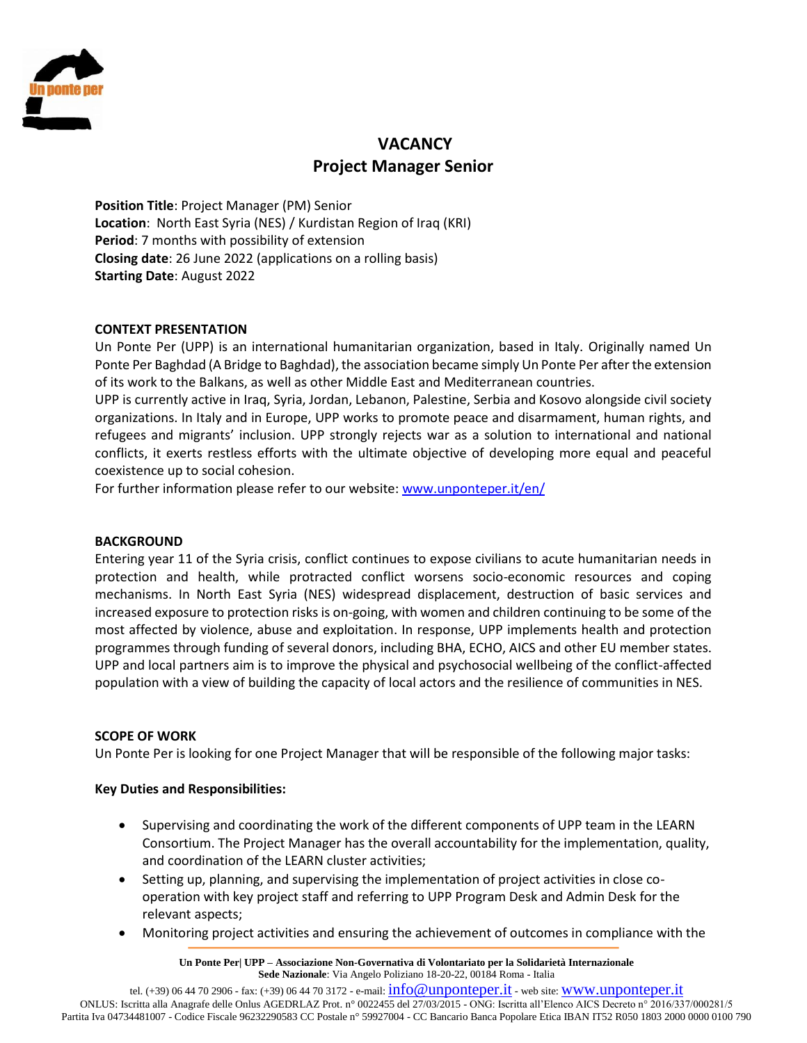

# **VACANCY Project Manager Senior**

**Position Title**: Project Manager (PM) Senior **Location**: North East Syria (NES) / Kurdistan Region of Iraq (KRI) **Period**: 7 months with possibility of extension **Closing date**: 26 June 2022 (applications on a rolling basis) **Starting Date**: August 2022

# **CONTEXT PRESENTATION**

Un Ponte Per (UPP) is an international humanitarian organization, based in Italy. Originally named Un Ponte Per Baghdad (A Bridge to Baghdad), the association became simply Un Ponte Per after the extension of its work to the Balkans, as well as other Middle East and Mediterranean countries.

UPP is currently active in Iraq, Syria, Jordan, Lebanon, Palestine, Serbia and Kosovo alongside civil society organizations. In Italy and in Europe, UPP works to promote peace and disarmament, human rights, and refugees and migrants' inclusion. UPP strongly rejects war as a solution to international and national conflicts, it exerts restless efforts with the ultimate objective of developing more equal and peaceful coexistence up to social cohesion.

For further information please refer to our website: [www.unponteper.it/en/](http://www.unponteper.it/en/)

#### **BACKGROUND**

Entering year 11 of the Syria crisis, conflict continues to expose civilians to acute humanitarian needs in protection and health, while protracted conflict worsens socio-economic resources and coping mechanisms. In North East Syria (NES) widespread displacement, destruction of basic services and increased exposure to protection risks is on-going, with women and children continuing to be some of the most affected by violence, abuse and exploitation. In response, UPP implements health and protection programmes through funding of several donors, including BHA, ECHO, AICS and other EU member states. UPP and local partners aim is to improve the physical and psychosocial wellbeing of the conflict-affected population with a view of building the capacity of local actors and the resilience of communities in NES.

#### **SCOPE OF WORK**

Un Ponte Per is looking for one Project Manager that will be responsible of the following major tasks:

#### **Key Duties and Responsibilities:**

- Supervising and coordinating the work of the different components of UPP team in the LEARN Consortium. The Project Manager has the overall accountability for the implementation, quality, and coordination of the LEARN cluster activities;
- Setting up, planning, and supervising the implementation of project activities in close cooperation with key project staff and referring to UPP Program Desk and Admin Desk for the relevant aspects;
- Monitoring project activities and ensuring the achievement of outcomes in compliance with the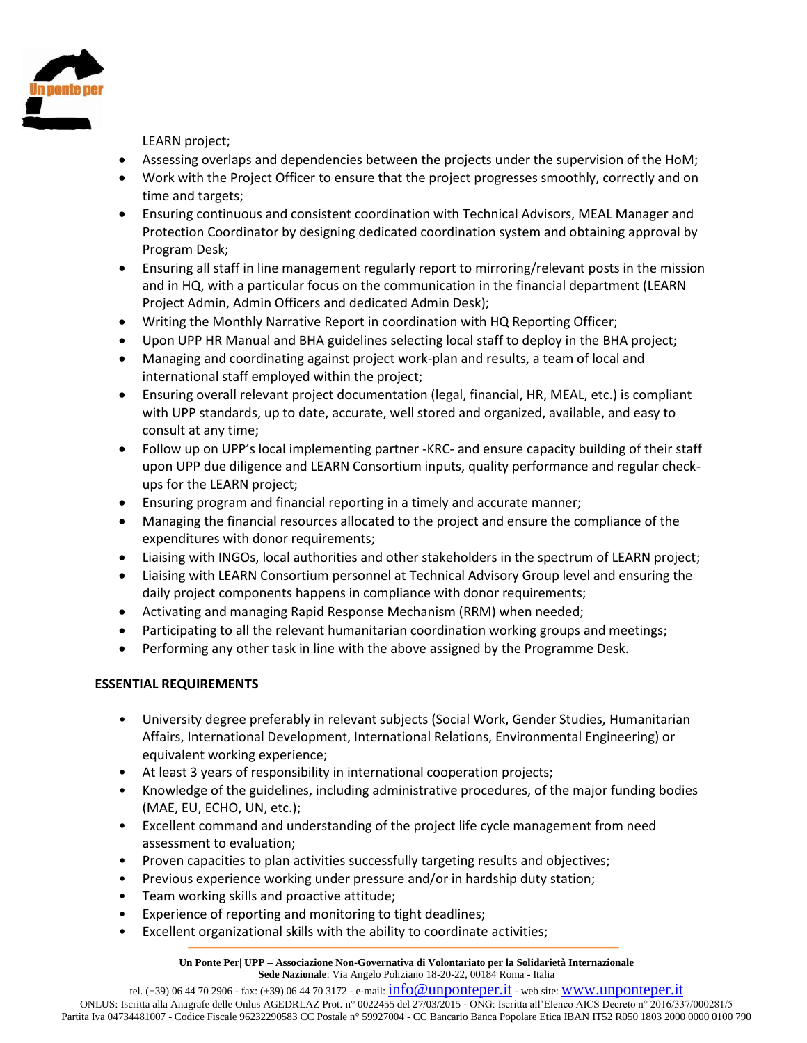

LEARN project;

- Assessing overlaps and dependencies between the projects under the supervision of the HoM;
- Work with the Project Officer to ensure that the project progresses smoothly, correctly and on time and targets;
- Ensuring continuous and consistent coordination with Technical Advisors, MEAL Manager and Protection Coordinator by designing dedicated coordination system and obtaining approval by Program Desk;
- Ensuring all staff in line management regularly report to mirroring/relevant posts in the mission and in HQ, with a particular focus on the communication in the financial department (LEARN Project Admin, Admin Officers and dedicated Admin Desk);
- Writing the Monthly Narrative Report in coordination with HQ Reporting Officer;
- Upon UPP HR Manual and BHA guidelines selecting local staff to deploy in the BHA project;
- Managing and coordinating against project work-plan and results, a team of local and international staff employed within the project;
- Ensuring overall relevant project documentation (legal, financial, HR, MEAL, etc.) is compliant with UPP standards, up to date, accurate, well stored and organized, available, and easy to consult at any time;
- Follow up on UPP's local implementing partner -KRC- and ensure capacity building of their staff upon UPP due diligence and LEARN Consortium inputs, quality performance and regular checkups for the LEARN project;
- Ensuring program and financial reporting in a timely and accurate manner;
- Managing the financial resources allocated to the project and ensure the compliance of the expenditures with donor requirements;
- Liaising with INGOs, local authorities and other stakeholders in the spectrum of LEARN project;
- Liaising with LEARN Consortium personnel at Technical Advisory Group level and ensuring the daily project components happens in compliance with donor requirements;
- Activating and managing Rapid Response Mechanism (RRM) when needed;
- Participating to all the relevant humanitarian coordination working groups and meetings;
- Performing any other task in line with the above assigned by the Programme Desk.

# **ESSENTIAL REQUIREMENTS**

- University degree preferably in relevant subjects (Social Work, Gender Studies, Humanitarian Affairs, International Development, International Relations, Environmental Engineering) or equivalent working experience;
- At least 3 years of responsibility in international cooperation projects;
- Knowledge of the guidelines, including administrative procedures, of the major funding bodies (MAE, EU, ECHO, UN, etc.);
- Excellent command and understanding of the project life cycle management from need assessment to evaluation;
- Proven capacities to plan activities successfully targeting results and objectives;
- Previous experience working under pressure and/or in hardship duty station;
- Team working skills and proactive attitude;
- Experience of reporting and monitoring to tight deadlines;
- Excellent organizational skills with the ability to coordinate activities;

tel. (+39) 06 44 70 2906 - fax: (+39) 06 44 70 3172 - e-mail: [info@unponteper.it](mailto:info@unponteper.it) - web site: [www.unponteper.it](http://www.unponteper.it/)

ONLUS: Iscritta alla Anagrafe delle Onlus AGEDRLAZ Prot. n° 0022455 del 27/03/2015 - ONG: Iscritta all'Elenco AICS Decreto n° 2016/337/000281/5 Partita Iva 04734481007 - Codice Fiscale 96232290583 CC Postale n° 59927004 - CC Bancario Banca Popolare Etica IBAN IT52 R050 1803 2000 0000 0100 790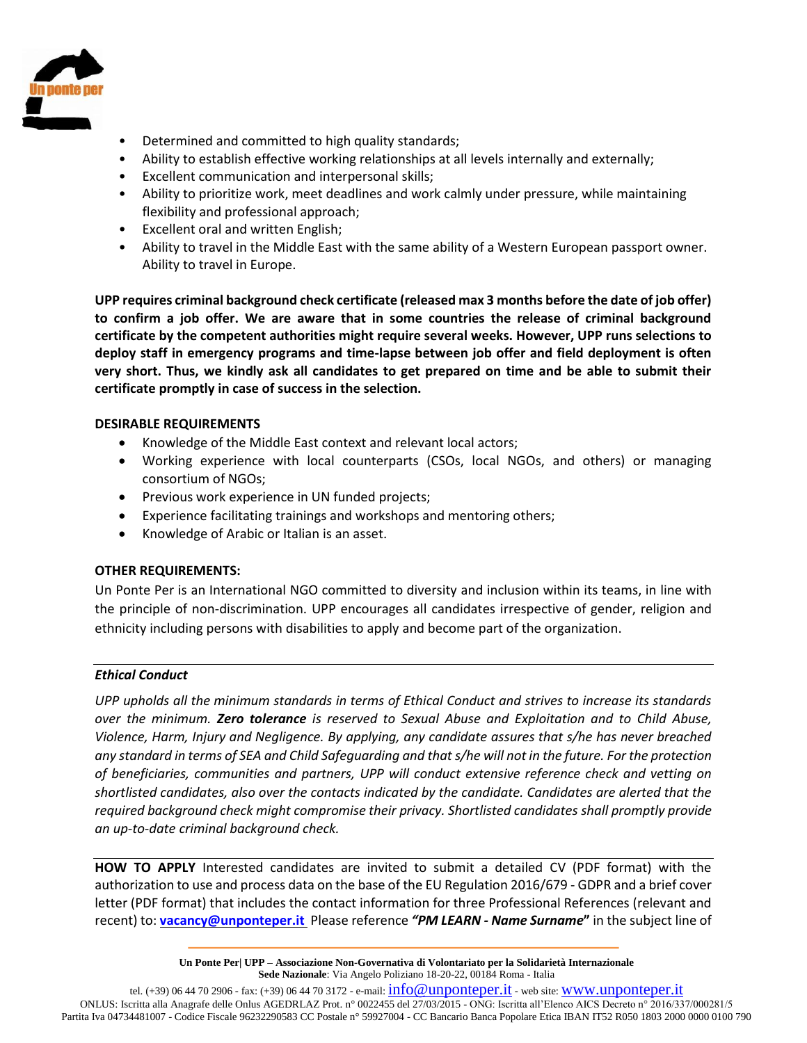

- Determined and committed to high quality standards;
- Ability to establish effective working relationships at all levels internally and externally;
- Excellent communication and interpersonal skills;
- Ability to prioritize work, meet deadlines and work calmly under pressure, while maintaining flexibility and professional approach;
- Excellent oral and written English;
- Ability to travel in the Middle East with the same ability of a Western European passport owner. Ability to travel in Europe.

**UPP requires criminal background check certificate (released max 3 months before the date of job offer) to confirm a job offer. We are aware that in some countries the release of criminal background certificate by the competent authorities might require several weeks. However, UPP runs selections to deploy staff in emergency programs and time-lapse between job offer and field deployment is often very short. Thus, we kindly ask all candidates to get prepared on time and be able to submit their certificate promptly in case of success in the selection.**

# **DESIRABLE REQUIREMENTS**

- Knowledge of the Middle East context and relevant local actors;
- Working experience with local counterparts (CSOs, local NGOs, and others) or managing consortium of NGOs;
- Previous work experience in UN funded projects;
- Experience facilitating trainings and workshops and mentoring others;
- Knowledge of Arabic or Italian is an asset.

# **OTHER REQUIREMENTS:**

Un Ponte Per is an International NGO committed to diversity and inclusion within its teams, in line with the principle of non-discrimination. UPP encourages all candidates irrespective of gender, religion and ethnicity including persons with disabilities to apply and become part of the organization.

#### *Ethical Conduct*

*UPP upholds all the minimum standards in terms of Ethical Conduct and strives to increase its standards over the minimum. Zero tolerance is reserved to Sexual Abuse and Exploitation and to Child Abuse, Violence, Harm, Injury and Negligence. By applying, any candidate assures that s/he has never breached any standard in terms of SEA and Child Safeguarding and that s/he will not in the future. For the protection of beneficiaries, communities and partners, UPP will conduct extensive reference check and vetting on shortlisted candidates, also over the contacts indicated by the candidate. Candidates are alerted that the required background check might compromise their privacy. Shortlisted candidates shall promptly provide an up-to-date criminal background check.* 

**HOW TO APPLY** Interested candidates are invited to submit a detailed CV (PDF format) with the authorization to use and process data on the base of the EU Regulation 2016/679 - GDPR and a brief cover letter (PDF format) that includes the contact information for three Professional References (relevant and recent) to: **[vacancy@unponteper.it](mailto:vacancy@unponteper.it)** Please reference *"PM LEARN - Name Surname***"** in the subject line of

> **Un Ponte Per| UPP – Associazione Non-Governativa di Volontariato per la Solidarietà Internazionale Sede Nazionale**: Via Angelo Poliziano 18-20-22, 00184 Roma - Italia

tel. (+39) 06 44 70 2906 - fax: (+39) 06 44 70 3172 - e-mail: [info@unponteper.it](mailto:info@unponteper.it) - web site: [www.unponteper.it](http://www.unponteper.it/) ONLUS: Iscritta alla Anagrafe delle Onlus AGEDRLAZ Prot. n° 0022455 del 27/03/2015 - ONG: Iscritta all'Elenco AICS Decreto n° 2016/337/000281/5 Partita Iva 04734481007 - Codice Fiscale 96232290583 CC Postale n° 59927004 - CC Bancario Banca Popolare Etica IBAN IT52 R050 1803 2000 0000 0100 790